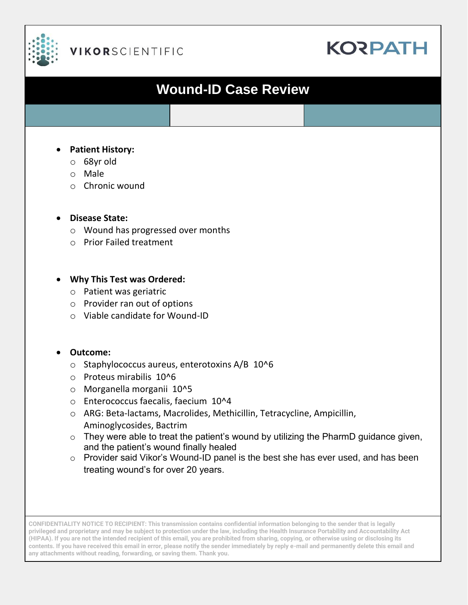

# **VIKORSCIENTIFIC**

# **KORPATH**

# **Wound-ID Case Review**

#### • **Patient History:**

- o 68yr old
- o Male
- o Chronic wound

#### • **Disease State:**

- o Wound has progressed over months
- o Prior Failed treatment

#### • **Why This Test was Ordered:**

- o Patient was geriatric
- o Provider ran out of options
- o Viable candidate for Wound-ID

### • **Outcome:**

- o Staphylococcus aureus, enterotoxins A/B 10^6
- o Proteus mirabilis 10^6
- o Morganella morganii 10^5
- o Enterococcus faecalis, faecium 10^4
- o ARG: Beta-lactams, Macrolides, Methicillin, Tetracycline, Ampicillin, Aminoglycosides, Bactrim
- $\circ$  They were able to treat the patient's wound by utilizing the PharmD guidance given, and the patient's wound finally healed
- o Provider said Vikor's Wound-ID panel is the best she has ever used, and has been treating wound's for over 20 years.

**CONFIDENTIALITY NOTICE TO RECIPIENT: This transmission contains confidential information belonging to the sender that is legally privileged and proprietary and may be subject to protection under the law, including the Health Insurance Portability and Accountability Act (HIPAA). If you are not the intended recipient of this email, you are prohibited from sharing, copying, or otherwise using or disclosing its contents. If you have received this email in error, please notify the sender immediately by reply e-mail and permanently delete this email and any attachments without reading, forwarding, or saving them. Thank you.**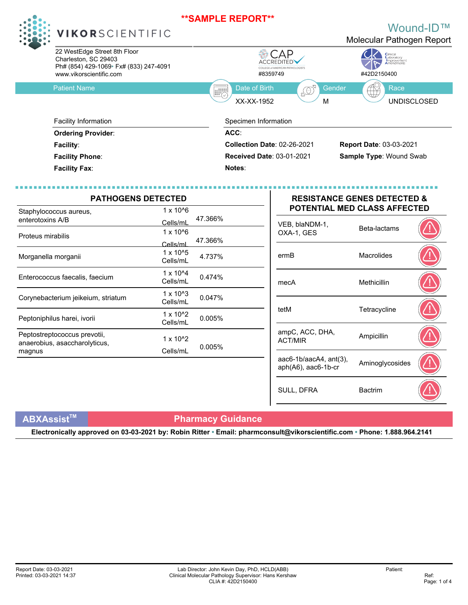**Notes**:



### **VIKOR**SCIENTIFIC

Charleston, SC 29403 Ph# (854) 429-1069• Fx# (833) 247-4091

#### Wound-ID™ Molecular Pathogen Report



**Facility Phone**:

**Facility Fax**:

| <b>PATHOGENS DETECTED</b><br>$1 \times 10^{6}$                |                                |         |                                   | <b>RESISTANCE GENES DETECTED &amp;</b><br><b>POTENTIAL MED CLASS AFFECTED</b> |  |  |
|---------------------------------------------------------------|--------------------------------|---------|-----------------------------------|-------------------------------------------------------------------------------|--|--|
| Staphylococcus aureus,<br>enterotoxins A/B                    | Cells/mL                       | 47.366% | VEB, blaNDM-1,                    |                                                                               |  |  |
| Proteus mirabilis                                             | $1 \times 10^{6}$<br>Cells/ml  | 47.366% | OXA-1, GES                        | Beta-lactams                                                                  |  |  |
| Morganella morganii                                           | $1 \times 10^{6}$<br>Cells/mL  | 4.737%  | ermB                              | <b>Macrolides</b>                                                             |  |  |
| Enterococcus faecalis, faecium                                | $1 \times 10^{4}$<br>Cells/mL  | 0.474%  | mecA                              | Methicillin                                                                   |  |  |
| Corynebacterium jeikeium, striatum                            | $1 \times 10^{4}3$<br>Cells/mL | 0.047%  |                                   |                                                                               |  |  |
| Peptoniphilus harei, ivorii                                   | $1 \times 10^{4}2$<br>Cells/mL | 0.005%  | tetM                              | Tetracycline                                                                  |  |  |
| Peptostreptococcus prevotii,<br>anaerobius, asaccharolyticus, | $1 \times 10^{2}$              |         | ampC, ACC, DHA,<br><b>ACT/MIR</b> | Ampicillin                                                                    |  |  |
| magnus                                                        | Cells/mL                       | 0.005%  | aac6-1b/aacA4, $ant(3)$ ,         | Aminoglycosides                                                               |  |  |

#### **RESISTANCE GENES DETECTED & POTENTIAL MED CLASS AFFECTED**

**Received Date**: 03-01-2021 **Sample Type**: Wound Swab

| VEB, blaNDM-1,<br>OXA-1, GES                        | Beta-lactams    |  |
|-----------------------------------------------------|-----------------|--|
| ermB                                                | Macrolides      |  |
| mecA                                                | Methicillin     |  |
| tetM                                                | Tetracycline    |  |
| ampC, ACC, DHA,<br><b>ACT/MIR</b>                   | Ampicillin      |  |
| $aac6-1b/aacA4$ , $ant(3)$ ,<br>aph(A6), aac6-1b-cr | Aminoglycosides |  |
| SULL, DFRA                                          | <b>Bactrim</b>  |  |

### **ABXAssistTM Pharmacy Guidance**

**Electronically approved on 03-03-2021 by: Robin Ritter • Email: pharmconsult@vikorscientific.com • Phone: 1.888.964.2141**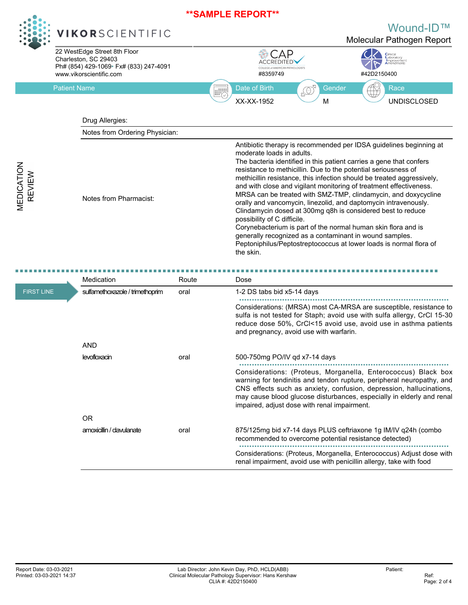

**VEDICATION REVIEW** 

## **VIKOR**SCIENTIFIC

Wound-ID™



|                   | Medication                      | Route | Dose                                                                                                                                                                                                                                                                                                                                   |
|-------------------|---------------------------------|-------|----------------------------------------------------------------------------------------------------------------------------------------------------------------------------------------------------------------------------------------------------------------------------------------------------------------------------------------|
| <b>FIRST LINE</b> | sulfamethoxazole / trimethoprim | oral  | 1-2 DS tabs bid x5-14 days                                                                                                                                                                                                                                                                                                             |
|                   |                                 |       | Considerations: (MRSA) most CA-MRSA are susceptible, resistance to<br>sulfa is not tested for Staph; avoid use with sulfa allergy, CrCl 15-30<br>reduce dose 50%, CrCl<15 avoid use, avoid use in asthma patients<br>and pregnancy, avoid use with warfarin.                                                                           |
|                   | <b>AND</b>                      |       |                                                                                                                                                                                                                                                                                                                                        |
|                   | <b>levofloxacin</b>             | oral  | 500-750mg PO/IV gd x7-14 days                                                                                                                                                                                                                                                                                                          |
|                   |                                 |       | Considerations: (Proteus, Morganella, Enterococcus) Black box<br>warning for tendinitis and tendon rupture, peripheral neuropathy, and<br>CNS effects such as anxiety, confusion, depression, hallucinations,<br>may cause blood glucose disturbances, especially in elderly and renal<br>impaired, adjust dose with renal impairment. |
|                   | OR.                             |       |                                                                                                                                                                                                                                                                                                                                        |
|                   | amoxicillin / clavulanate       | oral  | 875/125mg bid x7-14 days PLUS ceftriaxone 1g IM/IV q24h (combo<br>recommended to overcome potential resistance detected)                                                                                                                                                                                                               |
|                   |                                 |       | Considerations: (Proteus, Morganella, Enterococcus) Adjust dose with<br>renal impairment, avoid use with penicillin allergy, take with food                                                                                                                                                                                            |

Report Date: 03-03-2021 Printed: 03-03-2021 14:37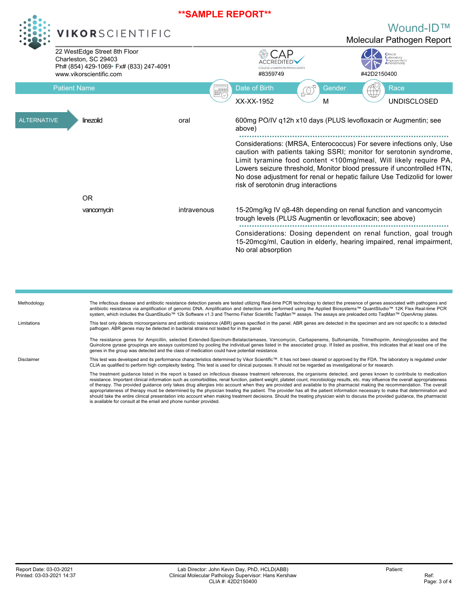

■ ■ ■ ■ ■ ■ ■ ■ ■ ■ ■ ■ ■ ■ ■ ■ ■ ■ ■ ■ ■ ■ ■ ■ ■ ■ ■ ■ ■ ■ ■ ■ ■ ■ ■ ■ ■ ■ ■ ■ ■ ■ ■ ■ ■ ■ ■ ■ ■ ■ ■ ■ ■ ■ ■ ■ ■ ■ ■ ■ ■ ■ ■ ■ ■ ■ ■ ■ ■ ■ ■ ■ ■ ■ ■ ■ ■ ■ ■ ■ ■ ■ ■ Considerations: Dosing dependent on renal function, goal trough 15-20mcg/ml, Caution in elderly, hearing impaired, renal impairment, No oral absorption

trough levels (PLUS Augmentin or levofloxacin; see above)

| Methodology | The infectious disease and antibiotic resistance detection panels are tested utilizing Real-time PCR technology to detect the presence of genes associated with pathogens and<br>antibiotic resistance via amplification of genomic DNA. Amplification and detection are performed using the Applied Biosystems™ QuantStudio™ 12K Flex Real-time PCR<br>system, which includes the QuantStudio™ 12k Software v1.3 and Thermo Fisher Scientific TagMan™ assays. The assays are preloaded onto TagMan™ OpenArray plates.                                                                                                                                                                                                                                                                                                                                                                                   |
|-------------|----------------------------------------------------------------------------------------------------------------------------------------------------------------------------------------------------------------------------------------------------------------------------------------------------------------------------------------------------------------------------------------------------------------------------------------------------------------------------------------------------------------------------------------------------------------------------------------------------------------------------------------------------------------------------------------------------------------------------------------------------------------------------------------------------------------------------------------------------------------------------------------------------------|
| Limitations | This test only detects microorganisms and antibiotic resistance (ABR) genes specified in the panel. ABR genes are detected in the specimen and are not specific to a detected<br>pathogen. ABR genes may be detected in bacterial strains not tested for in the panel.                                                                                                                                                                                                                                                                                                                                                                                                                                                                                                                                                                                                                                   |
|             | The resistance genes for Ampicillin, selected Extended-Spectrum-Betalactamases, Vancomycin, Carbapenems, Sulfonamide, Trimethoprim, Aminoglycosides and the<br>Quinolone gyrase groupings are assays customized by pooling the individual genes listed in the associated group. If listed as positive, this indicates that at least one of the<br>genes in the group was detected and the class of medication could have potential resistance.                                                                                                                                                                                                                                                                                                                                                                                                                                                           |
| Disclaimer  | This test was developed and its performance characteristics determined by Vikor Scientific™. It has not been cleared or approved by the FDA. The laboratory is regulated under<br>CLIA as qualified to perform high complexity testing. This test is used for clinical purposes. It should not be regarded as investigational or for research.                                                                                                                                                                                                                                                                                                                                                                                                                                                                                                                                                           |
|             | The treatment quidance listed in the report is based on infectious disease treatment references, the organisms detected, and genes known to contribute to medication<br>resistance. Important clinical information such as comorbidities, renal function, patient weight, platelet count, microbiology results, etc. may influence the overall appropriateness<br>of therapy. The provided quidance only takes drug allergies into account when they are provided and available to the pharmacist making the recommendation. The overall<br>appropriateness of therapy must be determined by the physician treating the patient. The provider has all the patient information necessary to make that determination and<br>should take the entire clinical presentation into account when making treatment decisions. Should the treating physician wish to discuss the provided quidance, the pharmacist |

is available for consult at the email and phone number provided.